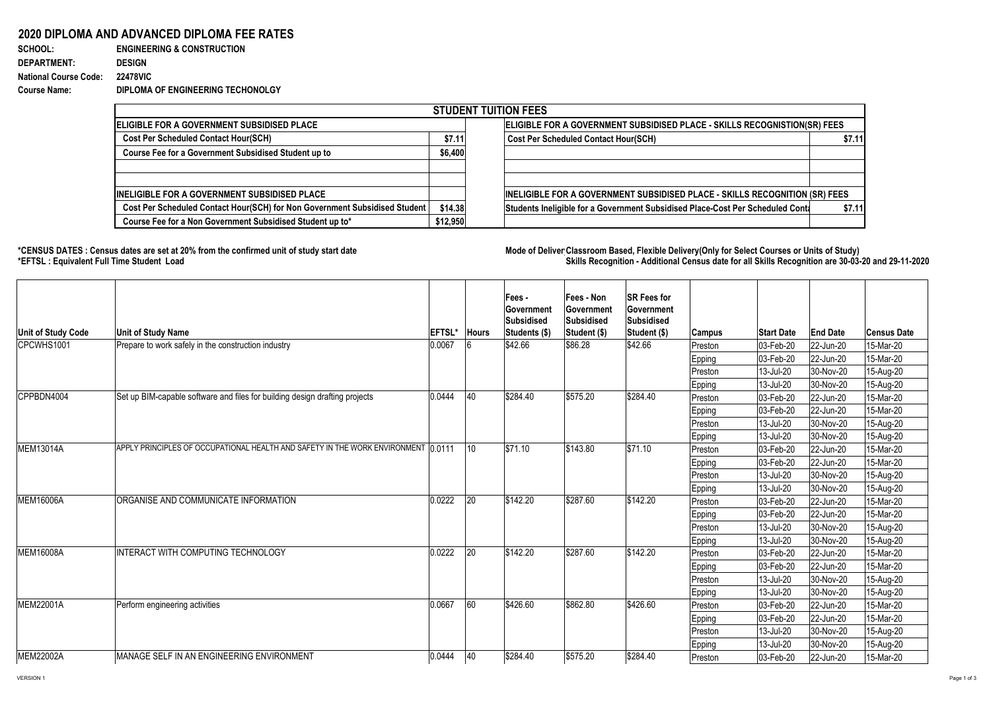## **2020 DIPLOMA AND ADVANCED DIPLOMA FEE RATES**

| <b>SCHOOL:</b>               | <b>ENGINEERING &amp; CONSTRUCTION</b> |
|------------------------------|---------------------------------------|
| <b>DEPARTMENT:</b>           | <b>DESIGN</b>                         |
| <b>National Course Code:</b> | <b>22478VIC</b>                       |
| <b>Course Name:</b>          | DIPLOMA OF ENGINEERING TECHONOLGY     |

## \*CENSUS DATES : Census dates are set at 20% from the confirmed unit of study start date **Mode of Deliver Classroom Based, Flexible** Delivery(Only for Select Courses or Units of Study) **\*EFTSL : Equivalent Full Time Student Load Skills Recognition - Additional Census date for all Skills Recognition are 30-03-20 and 29-11-2020**

| <b>STUDENT TUITION FEES</b>                                                |          |                                                                                |        |  |  |  |  |  |  |  |
|----------------------------------------------------------------------------|----------|--------------------------------------------------------------------------------|--------|--|--|--|--|--|--|--|
| ELIGIBLE FOR A GOVERNMENT SUBSIDISED PLACE                                 |          | ELIGIBLE FOR A GOVERNMENT SUBSIDISED PLACE - SKILLS RECOGNISTION(SR) FEES      |        |  |  |  |  |  |  |  |
| <b>Cost Per Scheduled Contact Hour(SCH)</b>                                | \$7.11   | <b>Cost Per Scheduled Contact Hour(SCH)</b>                                    | \$7.11 |  |  |  |  |  |  |  |
| Course Fee for a Government Subsidised Student up to                       | \$6,400  |                                                                                |        |  |  |  |  |  |  |  |
|                                                                            |          |                                                                                |        |  |  |  |  |  |  |  |
|                                                                            |          |                                                                                |        |  |  |  |  |  |  |  |
| INELIGIBLE FOR A GOVERNMENT SUBSIDISED PLACE                               |          | INELIGIBLE FOR A GOVERNMENT SUBSIDISED PLACE - SKILLS RECOGNITION (SR) FEES    |        |  |  |  |  |  |  |  |
| Cost Per Scheduled Contact Hour(SCH) for Non Government Subsidised Student | \$14.38  | Students Ineligible for a Government Subsidised Place-Cost Per Scheduled Conta | \$7.11 |  |  |  |  |  |  |  |
| Course Fee for a Non Government Subsidised Student up to*                  | \$12,950 |                                                                                |        |  |  |  |  |  |  |  |

| <b>Unit of Study Code</b> | <b>Unit of Study Name</b>                                                          | <b>EFTSL</b> | <b>Hours</b> | Fees -<br><b>Sovernment</b><br>Subsidised<br>Students (\$) | <b>Fees - Non</b><br><b>Government</b><br><b>Subsidised</b><br><b>Student (\$)</b> | <b>SR Fees for</b><br><b>Government</b><br>Subsidised<br><b>Student (\$)</b> | <b>Campus</b> | <b>Start Date</b>        | <b>End Date</b> | <b>Census Date</b> |
|---------------------------|------------------------------------------------------------------------------------|--------------|--------------|------------------------------------------------------------|------------------------------------------------------------------------------------|------------------------------------------------------------------------------|---------------|--------------------------|-----------------|--------------------|
| CPCWHS1001                | Prepare to work safely in the construction industry                                | 0.0067       |              | \$42.66                                                    | \$86.28                                                                            | \$42.66                                                                      | Preston       | 03-Feb-20                | 22-Jun-20       | 15-Mar-20          |
|                           |                                                                                    |              |              |                                                            |                                                                                    |                                                                              | <b>Epping</b> | 03-Feb-20                | $ 22$ -Jun-20   | 15-Mar-20          |
|                           |                                                                                    |              |              |                                                            |                                                                                    |                                                                              | Preston       | 13-Jul-20                | 30-Nov-20       | 15-Aug-20          |
|                           |                                                                                    |              |              |                                                            |                                                                                    |                                                                              | <b>Epping</b> | 13-Jul-20                | 30-Nov-20       | 15-Aug-20          |
| CPPBDN4004                | Set up BIM-capable software and files for building design drafting projects        | 0.0444       | 40           | \$284.40                                                   | \$575.20                                                                           | \$284.40                                                                     | Preston       | 03-Feb-20                | 22-Jun-20       | 15-Mar-20          |
|                           |                                                                                    |              |              |                                                            |                                                                                    |                                                                              | Epping        | 03-Feb-20                | 22-Jun-20       | 15-Mar-20          |
|                           |                                                                                    |              |              |                                                            |                                                                                    |                                                                              | Preston       | 13-Jul-20                | 30-Nov-20       | 15-Aug-20          |
|                           |                                                                                    |              |              |                                                            |                                                                                    |                                                                              | <b>Epping</b> | 13-Jul-20                | 30-Nov-20       | 15-Aug-20          |
| <b>MEM13014A</b>          | APPLY PRINCIPLES OF OCCUPATIONAL HEALTH AND SAFETY IN THE WORK ENVIRONMENT 10.0111 |              | 10           | \$71.10                                                    | \$143.80                                                                           | \$71.10                                                                      | Preston       | 03-Feb-20                | 22-Jun-20       | 15-Mar-20          |
|                           |                                                                                    |              |              |                                                            |                                                                                    |                                                                              | <b>Epping</b> | 03-Feb-20                | $ 22$ -Jun-20   | 15-Mar-20          |
|                           |                                                                                    |              |              |                                                            |                                                                                    |                                                                              | Preston       | 13-Jul-20                | 30-Nov-20       | 15-Aug-20          |
|                           |                                                                                    |              |              |                                                            |                                                                                    |                                                                              | Epping        | 13-Jul-20                | 30-Nov-20       | 15-Aug-20          |
| <b>MEM16006A</b>          | ORGANISE AND COMMUNICATE INFORMATION                                               | 0.0222       | 20           | $\frac{1}{1}$ \$142.20                                     | \$287.60                                                                           | \$142.20                                                                     | Preston       | 03-Feb-20                | 22-Jun-20       | 15-Mar-20          |
|                           |                                                                                    |              |              |                                                            |                                                                                    |                                                                              | Epping        | 03-Feb-20                | 22-Jun-20       | 15-Mar-20          |
|                           |                                                                                    |              |              |                                                            |                                                                                    |                                                                              | Preston       | 13-Jul-20                | 30-Nov-20       | 15-Aug-20          |
|                           |                                                                                    |              |              |                                                            |                                                                                    |                                                                              | Epping        | 13-Jul-20                | 30-Nov-20       | 15-Aug-20          |
| <b>MEM16008A</b>          | INTERACT WITH COMPUTING TECHNOLOGY                                                 | 0.0222       | 20           | \$142.20                                                   | \$287.60                                                                           | \$142.20                                                                     | Preston       | 03-Feb-20                | $ 22$ -Jun-20   | 15-Mar-20          |
|                           |                                                                                    |              |              |                                                            |                                                                                    |                                                                              | <b>Epping</b> | 03-Feb-20                | $ 22$ -Jun-20   | 15-Mar-20          |
|                           |                                                                                    |              |              |                                                            |                                                                                    |                                                                              | Preston       | 13-Jul-20                | 30-Nov-20       | 15-Aug-20          |
|                           |                                                                                    |              |              |                                                            |                                                                                    |                                                                              | <b>Epping</b> | 13-Jul-20                | 30-Nov-20       | 15-Aug-20          |
| MEM22001A                 | Perform engineering activities                                                     | 0.0667       | 60           | \$426.60                                                   | \$862.80                                                                           | \$426.60                                                                     | Preston       | 03-Feb-20                | 22-Jun-20       | 15-Mar-20          |
|                           |                                                                                    |              |              |                                                            |                                                                                    |                                                                              | <b>Epping</b> | 03-Feb-20                | 22-Jun-20       | 15-Mar-20          |
|                           |                                                                                    |              |              |                                                            |                                                                                    |                                                                              | Preston       | 13-Jul-20                | 30-Nov-20       | 15-Aug-20          |
|                           |                                                                                    |              |              |                                                            |                                                                                    |                                                                              | Epping        | 13-Jul-20                | 30-Nov-20       | 15-Aug-20          |
| MEM22002A                 | MANAGE SELF IN AN ENGINEERING ENVIRONMENT                                          | 0.0444       | $ 40\rangle$ | \$284.40                                                   | \$575.20                                                                           | \$284.40                                                                     | Preston       | $ 03 - \text{Feb} - 20 $ | 22-Jun-20       | 15-Mar-20          |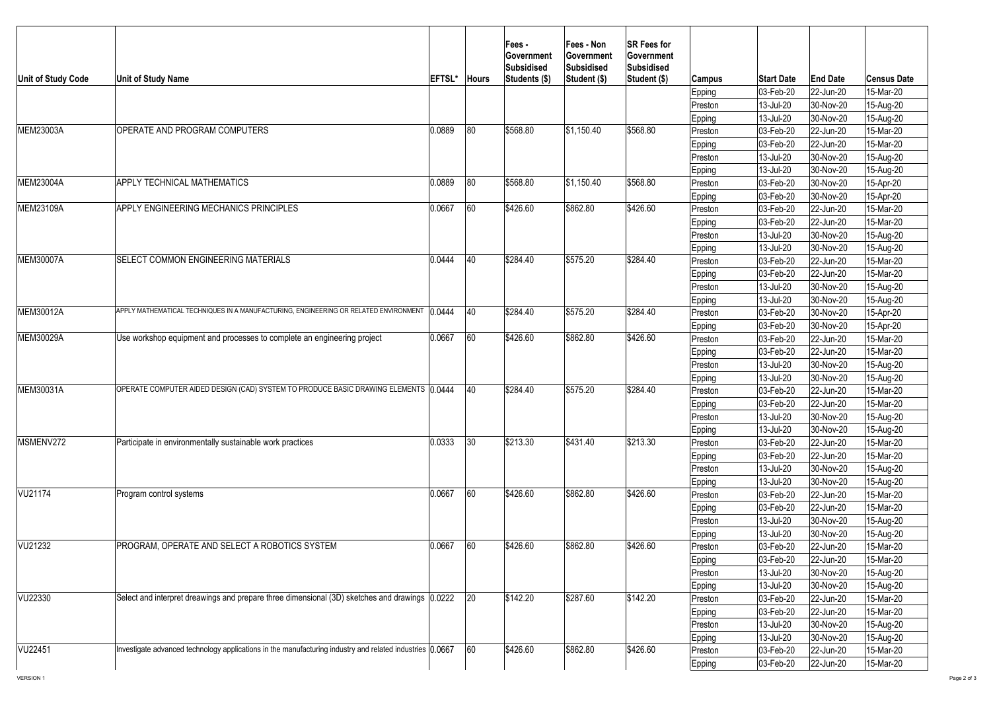| 80<br>0.0889<br>\$568.80<br> \$1,150.40<br>\$568.80<br>OPERATE AND PROGRAM COMPUTERS<br>$ 22$ -Jun-20<br>15-Mar-20<br> 03-Feb-20 <br>Preston<br>$ 22$ -Jun-20<br>15-Mar-20<br><b>Epping</b><br> 03-Feb-20 <br>30-Nov-20<br>13-Jul-20<br>15-Aug-20<br>Preston<br>30-Nov-20<br>13-Jul-20<br>15-Aug-20<br>Epping<br>80<br>\$568.80<br>0.0889<br>\$568.80<br>$\frac{1}{9}1,150.40$<br><b>APPLY TECHNICAL MATHEMATICS</b><br>03-Feb-20<br>30-Nov-20<br>Preston<br>15-Apr-20<br>03-Feb-20<br>30-Nov-20<br>15-Apr-20<br>Epping<br>60<br>\$862.80<br>\$426.60<br>0.0667<br>\$426.60<br><b>APPLY ENGINEERING MECHANICS PRINCIPLES</b><br>Preston<br>03-Feb-20<br>15-Mar-20<br>$ 22$ -Jun-20<br>03-Feb-20<br>15-Mar-20<br>$ 22$ -Jun-20<br>Epping<br>13-Jul-20<br>30-Nov-20<br>15-Aug-20<br>Preston<br>13-Jul-20<br>15-Aug-20<br>30-Nov-20<br><b>Epping</b><br>\$284.40<br><b>MEM30007A</b><br>0.0444<br>\$284.40<br>\$575.20<br><b>SELECT COMMON ENGINEERING MATERIALS</b><br> 40<br>15-Mar-20<br>03-Feb-20<br>22-Jun-20<br>Preston<br>03-Feb-20<br>$ 22$ -Jun-20<br>15-Mar-20<br>Epping<br>15-Aug-20<br>13-Jul-20<br>$ 30-Nov-20 $<br>Preston<br>13-Jul-20<br>30-Nov-20<br>15-Aug-20<br>Epping<br>APPLY MATHEMATICAL TECHNIQUES IN A MANUFACTURING, ENGINEERING OR RELATED ENVIRONMENT 10.0444<br>40<br>\$284.40<br>\$575.20<br>\$284.40<br><b>MEM30012A</b><br> 03-Feb-20 <br>$ 30-Nov-20 $<br>15-Apr-20<br>Preston<br>15-Apr-20<br>$ 30-Nov-20 $<br>Epping<br> 03-Feb-20 <br>60<br>0.0667<br>\$862.80<br>\$426.60<br>\$426.60<br><b>MEM30029A</b><br>Use workshop equipment and processes to complete an engineering project<br>15-Mar-20<br>$ 22$ -Jun-20<br>Preston<br> 03-Feb-20 <br>15-Mar-20<br>$ 22$ -Jun-20<br> 03-Feb-20 <br>Epping<br>13-Jul-20<br>30-Nov-20<br>15-Aug-20<br>Preston<br>30-Nov-20<br>15-Aug-20<br>13-Jul-20<br><b>Epping</b><br>OPERATE COMPUTER AIDED DESIGN (CAD) SYSTEM TO PRODUCE BASIC DRAWING ELEMENTS 0.0444<br>40<br>\$284.40<br>\$575.20<br>\$284.40<br>MEM30031A<br>03-Feb-20<br>22-Jun-20<br>15-Mar-20<br>Preston<br>15-Mar-20<br>03-Feb-20<br>$ 22$ -Jun-20<br>Epping<br>13-Jul-20<br>30-Nov-20<br>15-Aug-20<br>Preston<br>13-Jul-20<br>30-Nov-20<br>15-Aug-20<br>Epping<br>30<br>\$213.30<br>\$431.40<br>\$213.30<br>Participate in environmentally sustainable work practices<br> 0.0333 <br>MSMENV272<br>03-Feb-20<br>15-Mar-20<br>$ 22$ -Jun-20<br>Preston<br>15-Mar-20<br>03-Feb-20<br>$ 22$ -Jun-20<br><b>Epping</b><br>15-Aug-20<br>13-Jul-20<br>30-Nov-20<br>Preston<br>13-Jul-20<br>15-Aug-20<br>$ 30-Nov-20 $<br><b>Epping</b><br>VU21174<br>0.0667<br>60<br>\$426.60<br>\$862.80<br>\$426.60<br><b>Program control systems</b><br> 03-Feb-20 <br>$ 22$ -Jun-20<br>15-Mar-20<br>Preston<br>Epping<br>22-Jun-20<br>$ 03 - Feb - 20 $<br>15-Mar-20<br>15-Aug-20<br>13-Jul-20<br>30-Nov-20<br> Preston<br>Epping<br>13-Jul-20<br>$ 30-Nov-20 $<br>15-Aug-20<br>60<br>0.0667<br>\$862.80<br>\$426.60<br>\$426.60<br>VU21232<br><b>PROGRAM, OPERATE AND SELECT A ROBOTICS SYSTEM</b><br>22-Jun-20<br>15-Mar-20<br>Preston<br>$ 03 - \text{Feb} - 20 $<br>03-Feb-20<br>22-Jun-20<br>15-Mar-20<br>Epping<br>13-Jul-20<br>$ 30-Nov-20 $<br>15-Aug-20<br>Preston<br>15-Aug-20<br>13-Jul-20<br>30-Nov-20<br>Epping<br>20<br>\$142.20<br>Select and interpret dreawings and prepare three dimensional (3D) sketches and drawings 0.0222<br>\$142.20<br>\$287.60<br>VU22330<br>15-Mar-20<br>03-Feb-20<br>$ 22$ -Jun-20<br>Preston<br>15-Mar-20<br>03-Feb-20<br>$ 22$ -Jun-20<br>Epping<br>15-Aug-20<br>13-Jul-20<br>$ 30-Nov-20 $<br>Preston<br>13-Jul-20<br>$ 30-Nov-20 $<br>15-Aug-20<br>Epping<br>60<br>Investigate advanced technology applications in the manufacturing industry and related industries (0.0667<br>\$862.80<br>\$426.60<br>\$426.60<br>$ 03 - \text{Feb} - 20 $<br>22-Jun-20<br>15-Mar-20<br>Preston<br>15-Mar-20<br>$ 03 - \text{Feb} - 20 $<br>22-Jun-20<br>Epping | Unit of Study Code | <b>Unit of Study Name</b> | <b>EFTSL</b> | <b>Hours</b> | <b>Fees-</b><br><b>Sovernment</b><br>Subsidised<br>Students (\$) | Fees - Non<br>∣Government<br><b>Subsidised</b><br>Student (\$) | <b>SR Fees for</b><br><b>Government</b><br><b>Subsidised</b><br>Student (\$) | Campus<br>Epping<br>Preston<br>Epping | <b>Start Date</b><br> 03-Feb-20 <br>13-Jul-20<br>13-Jul-20 | <b>End Date</b><br>$ 22$ -Jun-20<br>30-Nov-20<br>30-Nov-20 | <b>Census Date</b><br>15-Mar-20<br>15-Aug-20<br>15-Aug-20 |
|------------------------------------------------------------------------------------------------------------------------------------------------------------------------------------------------------------------------------------------------------------------------------------------------------------------------------------------------------------------------------------------------------------------------------------------------------------------------------------------------------------------------------------------------------------------------------------------------------------------------------------------------------------------------------------------------------------------------------------------------------------------------------------------------------------------------------------------------------------------------------------------------------------------------------------------------------------------------------------------------------------------------------------------------------------------------------------------------------------------------------------------------------------------------------------------------------------------------------------------------------------------------------------------------------------------------------------------------------------------------------------------------------------------------------------------------------------------------------------------------------------------------------------------------------------------------------------------------------------------------------------------------------------------------------------------------------------------------------------------------------------------------------------------------------------------------------------------------------------------------------------------------------------------------------------------------------------------------------------------------------------------------------------------------------------------------------------------------------------------------------------------------------------------------------------------------------------------------------------------------------------------------------------------------------------------------------------------------------------------------------------------------------------------------------------------------------------------------------------------------------------------------------------------------------------------------------------------------------------------------------------------------------------------------------------------------------------------------------------------------------------------------------------------------------------------------------------------------------------------------------------------------------------------------------------------------------------------------------------------------------------------------------------------------------------------------------------------------------------------------------------------------------------------------------------------------------------------------------------------------------------------------------------------------------------------------------------------------------------------------------------------------------------------------------------------------------------------------------------------------------------------------------------------------------------------------------------------------------------------------------------------------------------------------------------------------------------------------------------------------------------------------------------------------------------------------------------------------------------------------------------------------------------------------|--------------------|---------------------------|--------------|--------------|------------------------------------------------------------------|----------------------------------------------------------------|------------------------------------------------------------------------------|---------------------------------------|------------------------------------------------------------|------------------------------------------------------------|-----------------------------------------------------------|
|                                                                                                                                                                                                                                                                                                                                                                                                                                                                                                                                                                                                                                                                                                                                                                                                                                                                                                                                                                                                                                                                                                                                                                                                                                                                                                                                                                                                                                                                                                                                                                                                                                                                                                                                                                                                                                                                                                                                                                                                                                                                                                                                                                                                                                                                                                                                                                                                                                                                                                                                                                                                                                                                                                                                                                                                                                                                                                                                                                                                                                                                                                                                                                                                                                                                                                                                                                                                                                                                                                                                                                                                                                                                                                                                                                                                                                                                                                                        | MEM23003A          |                           |              |              |                                                                  |                                                                |                                                                              |                                       |                                                            |                                                            |                                                           |
|                                                                                                                                                                                                                                                                                                                                                                                                                                                                                                                                                                                                                                                                                                                                                                                                                                                                                                                                                                                                                                                                                                                                                                                                                                                                                                                                                                                                                                                                                                                                                                                                                                                                                                                                                                                                                                                                                                                                                                                                                                                                                                                                                                                                                                                                                                                                                                                                                                                                                                                                                                                                                                                                                                                                                                                                                                                                                                                                                                                                                                                                                                                                                                                                                                                                                                                                                                                                                                                                                                                                                                                                                                                                                                                                                                                                                                                                                                                        |                    |                           |              |              |                                                                  |                                                                |                                                                              |                                       |                                                            |                                                            |                                                           |
|                                                                                                                                                                                                                                                                                                                                                                                                                                                                                                                                                                                                                                                                                                                                                                                                                                                                                                                                                                                                                                                                                                                                                                                                                                                                                                                                                                                                                                                                                                                                                                                                                                                                                                                                                                                                                                                                                                                                                                                                                                                                                                                                                                                                                                                                                                                                                                                                                                                                                                                                                                                                                                                                                                                                                                                                                                                                                                                                                                                                                                                                                                                                                                                                                                                                                                                                                                                                                                                                                                                                                                                                                                                                                                                                                                                                                                                                                                                        |                    |                           |              |              |                                                                  |                                                                |                                                                              |                                       |                                                            |                                                            |                                                           |
|                                                                                                                                                                                                                                                                                                                                                                                                                                                                                                                                                                                                                                                                                                                                                                                                                                                                                                                                                                                                                                                                                                                                                                                                                                                                                                                                                                                                                                                                                                                                                                                                                                                                                                                                                                                                                                                                                                                                                                                                                                                                                                                                                                                                                                                                                                                                                                                                                                                                                                                                                                                                                                                                                                                                                                                                                                                                                                                                                                                                                                                                                                                                                                                                                                                                                                                                                                                                                                                                                                                                                                                                                                                                                                                                                                                                                                                                                                                        |                    |                           |              |              |                                                                  |                                                                |                                                                              |                                       |                                                            |                                                            |                                                           |
|                                                                                                                                                                                                                                                                                                                                                                                                                                                                                                                                                                                                                                                                                                                                                                                                                                                                                                                                                                                                                                                                                                                                                                                                                                                                                                                                                                                                                                                                                                                                                                                                                                                                                                                                                                                                                                                                                                                                                                                                                                                                                                                                                                                                                                                                                                                                                                                                                                                                                                                                                                                                                                                                                                                                                                                                                                                                                                                                                                                                                                                                                                                                                                                                                                                                                                                                                                                                                                                                                                                                                                                                                                                                                                                                                                                                                                                                                                                        | <b>MEM23004A</b>   |                           |              |              |                                                                  |                                                                |                                                                              |                                       |                                                            |                                                            |                                                           |
|                                                                                                                                                                                                                                                                                                                                                                                                                                                                                                                                                                                                                                                                                                                                                                                                                                                                                                                                                                                                                                                                                                                                                                                                                                                                                                                                                                                                                                                                                                                                                                                                                                                                                                                                                                                                                                                                                                                                                                                                                                                                                                                                                                                                                                                                                                                                                                                                                                                                                                                                                                                                                                                                                                                                                                                                                                                                                                                                                                                                                                                                                                                                                                                                                                                                                                                                                                                                                                                                                                                                                                                                                                                                                                                                                                                                                                                                                                                        |                    |                           |              |              |                                                                  |                                                                |                                                                              |                                       |                                                            |                                                            |                                                           |
|                                                                                                                                                                                                                                                                                                                                                                                                                                                                                                                                                                                                                                                                                                                                                                                                                                                                                                                                                                                                                                                                                                                                                                                                                                                                                                                                                                                                                                                                                                                                                                                                                                                                                                                                                                                                                                                                                                                                                                                                                                                                                                                                                                                                                                                                                                                                                                                                                                                                                                                                                                                                                                                                                                                                                                                                                                                                                                                                                                                                                                                                                                                                                                                                                                                                                                                                                                                                                                                                                                                                                                                                                                                                                                                                                                                                                                                                                                                        | MEM23109A          |                           |              |              |                                                                  |                                                                |                                                                              |                                       |                                                            |                                                            |                                                           |
|                                                                                                                                                                                                                                                                                                                                                                                                                                                                                                                                                                                                                                                                                                                                                                                                                                                                                                                                                                                                                                                                                                                                                                                                                                                                                                                                                                                                                                                                                                                                                                                                                                                                                                                                                                                                                                                                                                                                                                                                                                                                                                                                                                                                                                                                                                                                                                                                                                                                                                                                                                                                                                                                                                                                                                                                                                                                                                                                                                                                                                                                                                                                                                                                                                                                                                                                                                                                                                                                                                                                                                                                                                                                                                                                                                                                                                                                                                                        |                    |                           |              |              |                                                                  |                                                                |                                                                              |                                       |                                                            |                                                            |                                                           |
|                                                                                                                                                                                                                                                                                                                                                                                                                                                                                                                                                                                                                                                                                                                                                                                                                                                                                                                                                                                                                                                                                                                                                                                                                                                                                                                                                                                                                                                                                                                                                                                                                                                                                                                                                                                                                                                                                                                                                                                                                                                                                                                                                                                                                                                                                                                                                                                                                                                                                                                                                                                                                                                                                                                                                                                                                                                                                                                                                                                                                                                                                                                                                                                                                                                                                                                                                                                                                                                                                                                                                                                                                                                                                                                                                                                                                                                                                                                        |                    |                           |              |              |                                                                  |                                                                |                                                                              |                                       |                                                            |                                                            |                                                           |
|                                                                                                                                                                                                                                                                                                                                                                                                                                                                                                                                                                                                                                                                                                                                                                                                                                                                                                                                                                                                                                                                                                                                                                                                                                                                                                                                                                                                                                                                                                                                                                                                                                                                                                                                                                                                                                                                                                                                                                                                                                                                                                                                                                                                                                                                                                                                                                                                                                                                                                                                                                                                                                                                                                                                                                                                                                                                                                                                                                                                                                                                                                                                                                                                                                                                                                                                                                                                                                                                                                                                                                                                                                                                                                                                                                                                                                                                                                                        |                    |                           |              |              |                                                                  |                                                                |                                                                              |                                       |                                                            |                                                            |                                                           |
|                                                                                                                                                                                                                                                                                                                                                                                                                                                                                                                                                                                                                                                                                                                                                                                                                                                                                                                                                                                                                                                                                                                                                                                                                                                                                                                                                                                                                                                                                                                                                                                                                                                                                                                                                                                                                                                                                                                                                                                                                                                                                                                                                                                                                                                                                                                                                                                                                                                                                                                                                                                                                                                                                                                                                                                                                                                                                                                                                                                                                                                                                                                                                                                                                                                                                                                                                                                                                                                                                                                                                                                                                                                                                                                                                                                                                                                                                                                        |                    |                           |              |              |                                                                  |                                                                |                                                                              |                                       |                                                            |                                                            |                                                           |
|                                                                                                                                                                                                                                                                                                                                                                                                                                                                                                                                                                                                                                                                                                                                                                                                                                                                                                                                                                                                                                                                                                                                                                                                                                                                                                                                                                                                                                                                                                                                                                                                                                                                                                                                                                                                                                                                                                                                                                                                                                                                                                                                                                                                                                                                                                                                                                                                                                                                                                                                                                                                                                                                                                                                                                                                                                                                                                                                                                                                                                                                                                                                                                                                                                                                                                                                                                                                                                                                                                                                                                                                                                                                                                                                                                                                                                                                                                                        |                    |                           |              |              |                                                                  |                                                                |                                                                              |                                       |                                                            |                                                            |                                                           |
|                                                                                                                                                                                                                                                                                                                                                                                                                                                                                                                                                                                                                                                                                                                                                                                                                                                                                                                                                                                                                                                                                                                                                                                                                                                                                                                                                                                                                                                                                                                                                                                                                                                                                                                                                                                                                                                                                                                                                                                                                                                                                                                                                                                                                                                                                                                                                                                                                                                                                                                                                                                                                                                                                                                                                                                                                                                                                                                                                                                                                                                                                                                                                                                                                                                                                                                                                                                                                                                                                                                                                                                                                                                                                                                                                                                                                                                                                                                        |                    |                           |              |              |                                                                  |                                                                |                                                                              |                                       |                                                            |                                                            |                                                           |
|                                                                                                                                                                                                                                                                                                                                                                                                                                                                                                                                                                                                                                                                                                                                                                                                                                                                                                                                                                                                                                                                                                                                                                                                                                                                                                                                                                                                                                                                                                                                                                                                                                                                                                                                                                                                                                                                                                                                                                                                                                                                                                                                                                                                                                                                                                                                                                                                                                                                                                                                                                                                                                                                                                                                                                                                                                                                                                                                                                                                                                                                                                                                                                                                                                                                                                                                                                                                                                                                                                                                                                                                                                                                                                                                                                                                                                                                                                                        |                    |                           |              |              |                                                                  |                                                                |                                                                              |                                       |                                                            |                                                            |                                                           |
|                                                                                                                                                                                                                                                                                                                                                                                                                                                                                                                                                                                                                                                                                                                                                                                                                                                                                                                                                                                                                                                                                                                                                                                                                                                                                                                                                                                                                                                                                                                                                                                                                                                                                                                                                                                                                                                                                                                                                                                                                                                                                                                                                                                                                                                                                                                                                                                                                                                                                                                                                                                                                                                                                                                                                                                                                                                                                                                                                                                                                                                                                                                                                                                                                                                                                                                                                                                                                                                                                                                                                                                                                                                                                                                                                                                                                                                                                                                        |                    |                           |              |              |                                                                  |                                                                |                                                                              |                                       |                                                            |                                                            |                                                           |
|                                                                                                                                                                                                                                                                                                                                                                                                                                                                                                                                                                                                                                                                                                                                                                                                                                                                                                                                                                                                                                                                                                                                                                                                                                                                                                                                                                                                                                                                                                                                                                                                                                                                                                                                                                                                                                                                                                                                                                                                                                                                                                                                                                                                                                                                                                                                                                                                                                                                                                                                                                                                                                                                                                                                                                                                                                                                                                                                                                                                                                                                                                                                                                                                                                                                                                                                                                                                                                                                                                                                                                                                                                                                                                                                                                                                                                                                                                                        |                    |                           |              |              |                                                                  |                                                                |                                                                              |                                       |                                                            |                                                            |                                                           |
|                                                                                                                                                                                                                                                                                                                                                                                                                                                                                                                                                                                                                                                                                                                                                                                                                                                                                                                                                                                                                                                                                                                                                                                                                                                                                                                                                                                                                                                                                                                                                                                                                                                                                                                                                                                                                                                                                                                                                                                                                                                                                                                                                                                                                                                                                                                                                                                                                                                                                                                                                                                                                                                                                                                                                                                                                                                                                                                                                                                                                                                                                                                                                                                                                                                                                                                                                                                                                                                                                                                                                                                                                                                                                                                                                                                                                                                                                                                        |                    |                           |              |              |                                                                  |                                                                |                                                                              |                                       |                                                            |                                                            |                                                           |
|                                                                                                                                                                                                                                                                                                                                                                                                                                                                                                                                                                                                                                                                                                                                                                                                                                                                                                                                                                                                                                                                                                                                                                                                                                                                                                                                                                                                                                                                                                                                                                                                                                                                                                                                                                                                                                                                                                                                                                                                                                                                                                                                                                                                                                                                                                                                                                                                                                                                                                                                                                                                                                                                                                                                                                                                                                                                                                                                                                                                                                                                                                                                                                                                                                                                                                                                                                                                                                                                                                                                                                                                                                                                                                                                                                                                                                                                                                                        |                    |                           |              |              |                                                                  |                                                                |                                                                              |                                       |                                                            |                                                            |                                                           |
|                                                                                                                                                                                                                                                                                                                                                                                                                                                                                                                                                                                                                                                                                                                                                                                                                                                                                                                                                                                                                                                                                                                                                                                                                                                                                                                                                                                                                                                                                                                                                                                                                                                                                                                                                                                                                                                                                                                                                                                                                                                                                                                                                                                                                                                                                                                                                                                                                                                                                                                                                                                                                                                                                                                                                                                                                                                                                                                                                                                                                                                                                                                                                                                                                                                                                                                                                                                                                                                                                                                                                                                                                                                                                                                                                                                                                                                                                                                        |                    |                           |              |              |                                                                  |                                                                |                                                                              |                                       |                                                            |                                                            |                                                           |
|                                                                                                                                                                                                                                                                                                                                                                                                                                                                                                                                                                                                                                                                                                                                                                                                                                                                                                                                                                                                                                                                                                                                                                                                                                                                                                                                                                                                                                                                                                                                                                                                                                                                                                                                                                                                                                                                                                                                                                                                                                                                                                                                                                                                                                                                                                                                                                                                                                                                                                                                                                                                                                                                                                                                                                                                                                                                                                                                                                                                                                                                                                                                                                                                                                                                                                                                                                                                                                                                                                                                                                                                                                                                                                                                                                                                                                                                                                                        |                    |                           |              |              |                                                                  |                                                                |                                                                              |                                       |                                                            |                                                            |                                                           |
|                                                                                                                                                                                                                                                                                                                                                                                                                                                                                                                                                                                                                                                                                                                                                                                                                                                                                                                                                                                                                                                                                                                                                                                                                                                                                                                                                                                                                                                                                                                                                                                                                                                                                                                                                                                                                                                                                                                                                                                                                                                                                                                                                                                                                                                                                                                                                                                                                                                                                                                                                                                                                                                                                                                                                                                                                                                                                                                                                                                                                                                                                                                                                                                                                                                                                                                                                                                                                                                                                                                                                                                                                                                                                                                                                                                                                                                                                                                        |                    |                           |              |              |                                                                  |                                                                |                                                                              |                                       |                                                            |                                                            |                                                           |
|                                                                                                                                                                                                                                                                                                                                                                                                                                                                                                                                                                                                                                                                                                                                                                                                                                                                                                                                                                                                                                                                                                                                                                                                                                                                                                                                                                                                                                                                                                                                                                                                                                                                                                                                                                                                                                                                                                                                                                                                                                                                                                                                                                                                                                                                                                                                                                                                                                                                                                                                                                                                                                                                                                                                                                                                                                                                                                                                                                                                                                                                                                                                                                                                                                                                                                                                                                                                                                                                                                                                                                                                                                                                                                                                                                                                                                                                                                                        |                    |                           |              |              |                                                                  |                                                                |                                                                              |                                       |                                                            |                                                            |                                                           |
|                                                                                                                                                                                                                                                                                                                                                                                                                                                                                                                                                                                                                                                                                                                                                                                                                                                                                                                                                                                                                                                                                                                                                                                                                                                                                                                                                                                                                                                                                                                                                                                                                                                                                                                                                                                                                                                                                                                                                                                                                                                                                                                                                                                                                                                                                                                                                                                                                                                                                                                                                                                                                                                                                                                                                                                                                                                                                                                                                                                                                                                                                                                                                                                                                                                                                                                                                                                                                                                                                                                                                                                                                                                                                                                                                                                                                                                                                                                        |                    |                           |              |              |                                                                  |                                                                |                                                                              |                                       |                                                            |                                                            |                                                           |
|                                                                                                                                                                                                                                                                                                                                                                                                                                                                                                                                                                                                                                                                                                                                                                                                                                                                                                                                                                                                                                                                                                                                                                                                                                                                                                                                                                                                                                                                                                                                                                                                                                                                                                                                                                                                                                                                                                                                                                                                                                                                                                                                                                                                                                                                                                                                                                                                                                                                                                                                                                                                                                                                                                                                                                                                                                                                                                                                                                                                                                                                                                                                                                                                                                                                                                                                                                                                                                                                                                                                                                                                                                                                                                                                                                                                                                                                                                                        |                    |                           |              |              |                                                                  |                                                                |                                                                              |                                       |                                                            |                                                            |                                                           |
|                                                                                                                                                                                                                                                                                                                                                                                                                                                                                                                                                                                                                                                                                                                                                                                                                                                                                                                                                                                                                                                                                                                                                                                                                                                                                                                                                                                                                                                                                                                                                                                                                                                                                                                                                                                                                                                                                                                                                                                                                                                                                                                                                                                                                                                                                                                                                                                                                                                                                                                                                                                                                                                                                                                                                                                                                                                                                                                                                                                                                                                                                                                                                                                                                                                                                                                                                                                                                                                                                                                                                                                                                                                                                                                                                                                                                                                                                                                        |                    |                           |              |              |                                                                  |                                                                |                                                                              |                                       |                                                            |                                                            |                                                           |
|                                                                                                                                                                                                                                                                                                                                                                                                                                                                                                                                                                                                                                                                                                                                                                                                                                                                                                                                                                                                                                                                                                                                                                                                                                                                                                                                                                                                                                                                                                                                                                                                                                                                                                                                                                                                                                                                                                                                                                                                                                                                                                                                                                                                                                                                                                                                                                                                                                                                                                                                                                                                                                                                                                                                                                                                                                                                                                                                                                                                                                                                                                                                                                                                                                                                                                                                                                                                                                                                                                                                                                                                                                                                                                                                                                                                                                                                                                                        |                    |                           |              |              |                                                                  |                                                                |                                                                              |                                       |                                                            |                                                            |                                                           |
|                                                                                                                                                                                                                                                                                                                                                                                                                                                                                                                                                                                                                                                                                                                                                                                                                                                                                                                                                                                                                                                                                                                                                                                                                                                                                                                                                                                                                                                                                                                                                                                                                                                                                                                                                                                                                                                                                                                                                                                                                                                                                                                                                                                                                                                                                                                                                                                                                                                                                                                                                                                                                                                                                                                                                                                                                                                                                                                                                                                                                                                                                                                                                                                                                                                                                                                                                                                                                                                                                                                                                                                                                                                                                                                                                                                                                                                                                                                        |                    |                           |              |              |                                                                  |                                                                |                                                                              |                                       |                                                            |                                                            |                                                           |
|                                                                                                                                                                                                                                                                                                                                                                                                                                                                                                                                                                                                                                                                                                                                                                                                                                                                                                                                                                                                                                                                                                                                                                                                                                                                                                                                                                                                                                                                                                                                                                                                                                                                                                                                                                                                                                                                                                                                                                                                                                                                                                                                                                                                                                                                                                                                                                                                                                                                                                                                                                                                                                                                                                                                                                                                                                                                                                                                                                                                                                                                                                                                                                                                                                                                                                                                                                                                                                                                                                                                                                                                                                                                                                                                                                                                                                                                                                                        |                    |                           |              |              |                                                                  |                                                                |                                                                              |                                       |                                                            |                                                            |                                                           |
|                                                                                                                                                                                                                                                                                                                                                                                                                                                                                                                                                                                                                                                                                                                                                                                                                                                                                                                                                                                                                                                                                                                                                                                                                                                                                                                                                                                                                                                                                                                                                                                                                                                                                                                                                                                                                                                                                                                                                                                                                                                                                                                                                                                                                                                                                                                                                                                                                                                                                                                                                                                                                                                                                                                                                                                                                                                                                                                                                                                                                                                                                                                                                                                                                                                                                                                                                                                                                                                                                                                                                                                                                                                                                                                                                                                                                                                                                                                        |                    |                           |              |              |                                                                  |                                                                |                                                                              |                                       |                                                            |                                                            |                                                           |
|                                                                                                                                                                                                                                                                                                                                                                                                                                                                                                                                                                                                                                                                                                                                                                                                                                                                                                                                                                                                                                                                                                                                                                                                                                                                                                                                                                                                                                                                                                                                                                                                                                                                                                                                                                                                                                                                                                                                                                                                                                                                                                                                                                                                                                                                                                                                                                                                                                                                                                                                                                                                                                                                                                                                                                                                                                                                                                                                                                                                                                                                                                                                                                                                                                                                                                                                                                                                                                                                                                                                                                                                                                                                                                                                                                                                                                                                                                                        |                    |                           |              |              |                                                                  |                                                                |                                                                              |                                       |                                                            |                                                            |                                                           |
|                                                                                                                                                                                                                                                                                                                                                                                                                                                                                                                                                                                                                                                                                                                                                                                                                                                                                                                                                                                                                                                                                                                                                                                                                                                                                                                                                                                                                                                                                                                                                                                                                                                                                                                                                                                                                                                                                                                                                                                                                                                                                                                                                                                                                                                                                                                                                                                                                                                                                                                                                                                                                                                                                                                                                                                                                                                                                                                                                                                                                                                                                                                                                                                                                                                                                                                                                                                                                                                                                                                                                                                                                                                                                                                                                                                                                                                                                                                        |                    |                           |              |              |                                                                  |                                                                |                                                                              |                                       |                                                            |                                                            |                                                           |
|                                                                                                                                                                                                                                                                                                                                                                                                                                                                                                                                                                                                                                                                                                                                                                                                                                                                                                                                                                                                                                                                                                                                                                                                                                                                                                                                                                                                                                                                                                                                                                                                                                                                                                                                                                                                                                                                                                                                                                                                                                                                                                                                                                                                                                                                                                                                                                                                                                                                                                                                                                                                                                                                                                                                                                                                                                                                                                                                                                                                                                                                                                                                                                                                                                                                                                                                                                                                                                                                                                                                                                                                                                                                                                                                                                                                                                                                                                                        |                    |                           |              |              |                                                                  |                                                                |                                                                              |                                       |                                                            |                                                            |                                                           |
|                                                                                                                                                                                                                                                                                                                                                                                                                                                                                                                                                                                                                                                                                                                                                                                                                                                                                                                                                                                                                                                                                                                                                                                                                                                                                                                                                                                                                                                                                                                                                                                                                                                                                                                                                                                                                                                                                                                                                                                                                                                                                                                                                                                                                                                                                                                                                                                                                                                                                                                                                                                                                                                                                                                                                                                                                                                                                                                                                                                                                                                                                                                                                                                                                                                                                                                                                                                                                                                                                                                                                                                                                                                                                                                                                                                                                                                                                                                        |                    |                           |              |              |                                                                  |                                                                |                                                                              |                                       |                                                            |                                                            |                                                           |
|                                                                                                                                                                                                                                                                                                                                                                                                                                                                                                                                                                                                                                                                                                                                                                                                                                                                                                                                                                                                                                                                                                                                                                                                                                                                                                                                                                                                                                                                                                                                                                                                                                                                                                                                                                                                                                                                                                                                                                                                                                                                                                                                                                                                                                                                                                                                                                                                                                                                                                                                                                                                                                                                                                                                                                                                                                                                                                                                                                                                                                                                                                                                                                                                                                                                                                                                                                                                                                                                                                                                                                                                                                                                                                                                                                                                                                                                                                                        |                    |                           |              |              |                                                                  |                                                                |                                                                              |                                       |                                                            |                                                            |                                                           |
|                                                                                                                                                                                                                                                                                                                                                                                                                                                                                                                                                                                                                                                                                                                                                                                                                                                                                                                                                                                                                                                                                                                                                                                                                                                                                                                                                                                                                                                                                                                                                                                                                                                                                                                                                                                                                                                                                                                                                                                                                                                                                                                                                                                                                                                                                                                                                                                                                                                                                                                                                                                                                                                                                                                                                                                                                                                                                                                                                                                                                                                                                                                                                                                                                                                                                                                                                                                                                                                                                                                                                                                                                                                                                                                                                                                                                                                                                                                        |                    |                           |              |              |                                                                  |                                                                |                                                                              |                                       |                                                            |                                                            |                                                           |
|                                                                                                                                                                                                                                                                                                                                                                                                                                                                                                                                                                                                                                                                                                                                                                                                                                                                                                                                                                                                                                                                                                                                                                                                                                                                                                                                                                                                                                                                                                                                                                                                                                                                                                                                                                                                                                                                                                                                                                                                                                                                                                                                                                                                                                                                                                                                                                                                                                                                                                                                                                                                                                                                                                                                                                                                                                                                                                                                                                                                                                                                                                                                                                                                                                                                                                                                                                                                                                                                                                                                                                                                                                                                                                                                                                                                                                                                                                                        |                    |                           |              |              |                                                                  |                                                                |                                                                              |                                       |                                                            |                                                            |                                                           |
|                                                                                                                                                                                                                                                                                                                                                                                                                                                                                                                                                                                                                                                                                                                                                                                                                                                                                                                                                                                                                                                                                                                                                                                                                                                                                                                                                                                                                                                                                                                                                                                                                                                                                                                                                                                                                                                                                                                                                                                                                                                                                                                                                                                                                                                                                                                                                                                                                                                                                                                                                                                                                                                                                                                                                                                                                                                                                                                                                                                                                                                                                                                                                                                                                                                                                                                                                                                                                                                                                                                                                                                                                                                                                                                                                                                                                                                                                                                        |                    |                           |              |              |                                                                  |                                                                |                                                                              |                                       |                                                            |                                                            |                                                           |
|                                                                                                                                                                                                                                                                                                                                                                                                                                                                                                                                                                                                                                                                                                                                                                                                                                                                                                                                                                                                                                                                                                                                                                                                                                                                                                                                                                                                                                                                                                                                                                                                                                                                                                                                                                                                                                                                                                                                                                                                                                                                                                                                                                                                                                                                                                                                                                                                                                                                                                                                                                                                                                                                                                                                                                                                                                                                                                                                                                                                                                                                                                                                                                                                                                                                                                                                                                                                                                                                                                                                                                                                                                                                                                                                                                                                                                                                                                                        |                    |                           |              |              |                                                                  |                                                                |                                                                              |                                       |                                                            |                                                            |                                                           |
|                                                                                                                                                                                                                                                                                                                                                                                                                                                                                                                                                                                                                                                                                                                                                                                                                                                                                                                                                                                                                                                                                                                                                                                                                                                                                                                                                                                                                                                                                                                                                                                                                                                                                                                                                                                                                                                                                                                                                                                                                                                                                                                                                                                                                                                                                                                                                                                                                                                                                                                                                                                                                                                                                                                                                                                                                                                                                                                                                                                                                                                                                                                                                                                                                                                                                                                                                                                                                                                                                                                                                                                                                                                                                                                                                                                                                                                                                                                        |                    |                           |              |              |                                                                  |                                                                |                                                                              |                                       |                                                            |                                                            |                                                           |
|                                                                                                                                                                                                                                                                                                                                                                                                                                                                                                                                                                                                                                                                                                                                                                                                                                                                                                                                                                                                                                                                                                                                                                                                                                                                                                                                                                                                                                                                                                                                                                                                                                                                                                                                                                                                                                                                                                                                                                                                                                                                                                                                                                                                                                                                                                                                                                                                                                                                                                                                                                                                                                                                                                                                                                                                                                                                                                                                                                                                                                                                                                                                                                                                                                                                                                                                                                                                                                                                                                                                                                                                                                                                                                                                                                                                                                                                                                                        | VU22451            |                           |              |              |                                                                  |                                                                |                                                                              |                                       |                                                            |                                                            |                                                           |
|                                                                                                                                                                                                                                                                                                                                                                                                                                                                                                                                                                                                                                                                                                                                                                                                                                                                                                                                                                                                                                                                                                                                                                                                                                                                                                                                                                                                                                                                                                                                                                                                                                                                                                                                                                                                                                                                                                                                                                                                                                                                                                                                                                                                                                                                                                                                                                                                                                                                                                                                                                                                                                                                                                                                                                                                                                                                                                                                                                                                                                                                                                                                                                                                                                                                                                                                                                                                                                                                                                                                                                                                                                                                                                                                                                                                                                                                                                                        |                    |                           |              |              |                                                                  |                                                                |                                                                              |                                       |                                                            |                                                            |                                                           |